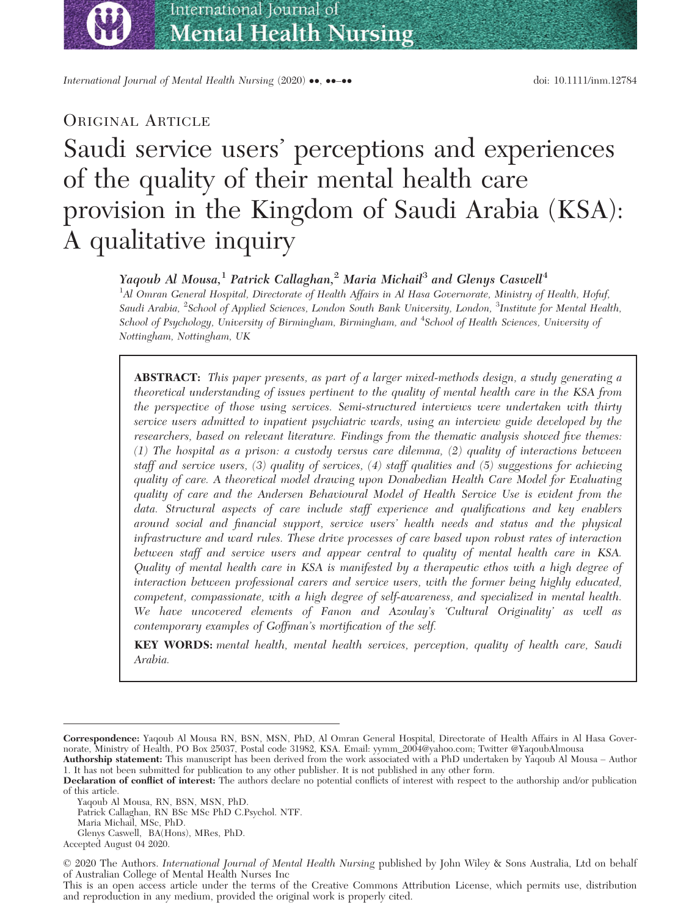bs\_bs\_banner

International Journal of Mental Health Nursing (2020) ••, ••-•• doi: 10.1111/inm.12784

## ORIGINAL ARTICLE

# Saudi service users' perceptions and experiences of the quality of their mental health care provision in the Kingdom of Saudi Arabia (KSA): A qualitative inquiry

Yaqoub Al Mousa,<sup>1</sup> Patrick Callaghan,<sup>2</sup> Maria Michail<sup>3</sup> and Glenys Caswell<sup>4</sup>

 $^{1}$ Al Omran General Hospital, Directorate of Health Affairs in Al Hasa Governorate, Ministry of Health, Hofuf, Saudi Arabia, <sup>2</sup>School of Applied Sciences, London South Bank University, London, <sup>3</sup>Institute for Mental Health, School of Psychology, University of Birmingham, Birmingham, and <sup>4</sup>School of Health Sciences, University of Nottingham, Nottingham, UK

ABSTRACT: This paper presents, as part of a larger mixed-methods design, a study generating a theoretical understanding of issues pertinent to the quality of mental health care in the KSA from the perspective of those using services. Semi-structured interviews were undertaken with thirty service users admitted to inpatient psychiatric wards, using an interview guide developed by the researchers, based on relevant literature. Findings from the thematic analysis showed five themes: (1) The hospital as a prison: a custody versus care dilemma, (2) quality of interactions between staff and service users, (3) quality of services, (4) staff qualities and (5) suggestions for achieving quality of care. A theoretical model drawing upon Donabedian Health Care Model for Evaluating quality of care and the Andersen Behavioural Model of Health Service Use is evident from the data. Structural aspects of care include staff experience and qualifications and key enablers around social and financial support, service users' health needs and status and the physical infrastructure and ward rules. These drive processes of care based upon robust rates of interaction between staff and service users and appear central to quality of mental health care in KSA. Quality of mental health care in KSA is manifested by a therapeutic ethos with a high degree of interaction between professional carers and service users, with the former being highly educated, competent, compassionate, with a high degree of self-awareness, and specialized in mental health. We have uncovered elements of Fanon and Azoulay's 'Cultural Originality' as well as contemporary examples of Goffman's mortification of the self.

KEY WORDS: mental health, mental health services, perception, quality of health care, Saudi Arabia.

- Yaqoub Al Mousa, RN, BSN, MSN, PhD.
- Patrick Callaghan, RN BSc MSc PhD C.Psychol. NTF.

Correspondence: Yaqoub Al Mousa RN, BSN, MSN, PhD, Al Omran General Hospital, Directorate of Health Affairs in Al Hasa Governorate, Ministry of Health, PO Box 25037, Postal code 31982, KSA. Email: [yymm\\_2004@yahoo.com](mailto:); Twitter [@YaqoubAlmousa](http://@YaqoubAlmousa)

Authorship statement: This manuscript has been derived from the work associated with a PhD undertaken by Yaqoub Al Mousa – Author 1. It has not been submitted for publication to any other publisher. It is not published in any other form.

Declaration of conflict of interest: The authors declare no potential conflicts of interest with respect to the authorship and/or publication of this article.

Maria Michail, MSc, PhD.

Glenys Caswell, BA(Hons), MRes, PhD.

Accepted August 04 2020.

<sup>©</sup> 2020 The Authors. International Journal of Mental Health Nursing published by John Wiley & Sons Australia, Ltd on behalf of Australian College of Mental Health Nurses Inc

This is an open access article under the terms of the [Creative Commons Attribution](http://creativecommons.org/licenses/by/4.0/) License, which permits use, distribution and reproduction in any medium, provided the original work is properly cited.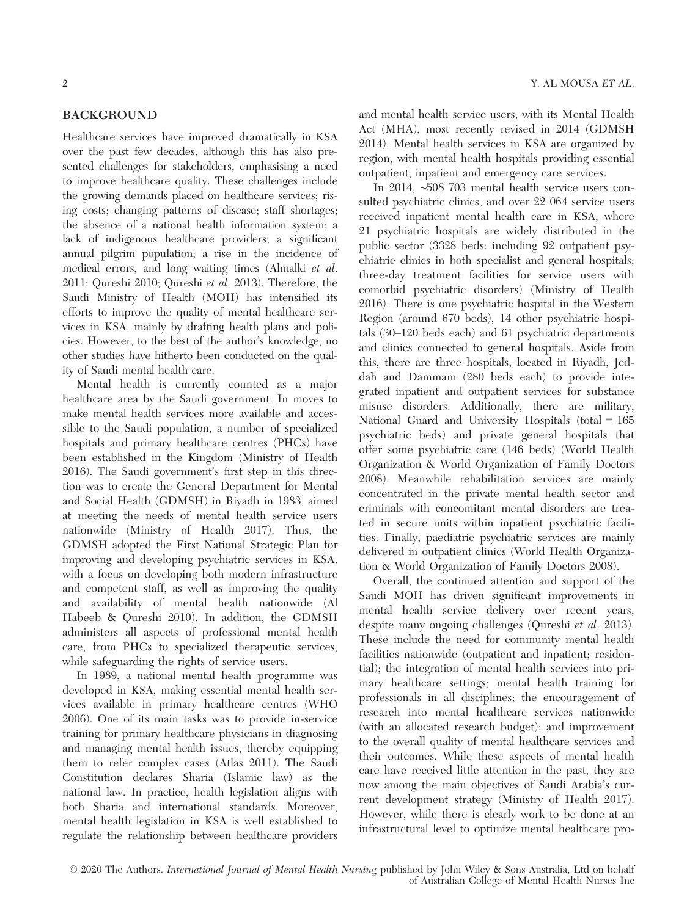#### BACKGROUND

Healthcare services have improved dramatically in KSA over the past few decades, although this has also presented challenges for stakeholders, emphasising a need to improve healthcare quality. These challenges include the growing demands placed on healthcare services; rising costs; changing patterns of disease; staff shortages; the absence of a national health information system; a lack of indigenous healthcare providers; a significant annual pilgrim population; a rise in the incidence of medical errors, and long waiting times (Almalki et al. 2011; Qureshi 2010; Qureshi *et al.* 2013). Therefore, the Saudi Ministry of Health (MOH) has intensified its efforts to improve the quality of mental healthcare services in KSA, mainly by drafting health plans and policies. However, to the best of the author's knowledge, no other studies have hitherto been conducted on the quality of Saudi mental health care.

Mental health is currently counted as a major healthcare area by the Saudi government. In moves to make mental health services more available and accessible to the Saudi population, a number of specialized hospitals and primary healthcare centres (PHCs) have been established in the Kingdom (Ministry of Health 2016). The Saudi government's first step in this direction was to create the General Department for Mental and Social Health (GDMSH) in Riyadh in 1983, aimed at meeting the needs of mental health service users nationwide (Ministry of Health 2017). Thus, the GDMSH adopted the First National Strategic Plan for improving and developing psychiatric services in KSA, with a focus on developing both modern infrastructure and competent staff, as well as improving the quality and availability of mental health nationwide (Al Habeeb & Qureshi 2010). In addition, the GDMSH administers all aspects of professional mental health care, from PHCs to specialized therapeutic services, while safeguarding the rights of service users.

In 1989, a national mental health programme was developed in KSA, making essential mental health services available in primary healthcare centres (WHO 2006). One of its main tasks was to provide in-service training for primary healthcare physicians in diagnosing and managing mental health issues, thereby equipping them to refer complex cases (Atlas 2011). The Saudi Constitution declares Sharia (Islamic law) as the national law. In practice, health legislation aligns with both Sharia and international standards. Moreover, mental health legislation in KSA is well established to regulate the relationship between healthcare providers

and mental health service users, with its Mental Health Act (MHA), most recently revised in 2014 (GDMSH 2014). Mental health services in KSA are organized by region, with mental health hospitals providing essential outpatient, inpatient and emergency care services.

In 2014, ~508 703 mental health service users consulted psychiatric clinics, and over 22 064 service users received inpatient mental health care in KSA, where 21 psychiatric hospitals are widely distributed in the public sector (3328 beds: including 92 outpatient psychiatric clinics in both specialist and general hospitals; three-day treatment facilities for service users with comorbid psychiatric disorders) (Ministry of Health 2016). There is one psychiatric hospital in the Western Region (around 670 beds), 14 other psychiatric hospitals (30–120 beds each) and 61 psychiatric departments and clinics connected to general hospitals. Aside from this, there are three hospitals, located in Riyadh, Jeddah and Dammam (280 beds each) to provide integrated inpatient and outpatient services for substance misuse disorders. Additionally, there are military, National Guard and University Hospitals (total = 165 psychiatric beds) and private general hospitals that offer some psychiatric care (146 beds) (World Health Organization & World Organization of Family Doctors 2008). Meanwhile rehabilitation services are mainly concentrated in the private mental health sector and criminals with concomitant mental disorders are treated in secure units within inpatient psychiatric facilities. Finally, paediatric psychiatric services are mainly delivered in outpatient clinics (World Health Organization & World Organization of Family Doctors 2008).

Overall, the continued attention and support of the Saudi MOH has driven significant improvements in mental health service delivery over recent years, despite many ongoing challenges (Qureshi et al. 2013). These include the need for community mental health facilities nationwide (outpatient and inpatient; residential); the integration of mental health services into primary healthcare settings; mental health training for professionals in all disciplines; the encouragement of research into mental healthcare services nationwide (with an allocated research budget); and improvement to the overall quality of mental healthcare services and their outcomes. While these aspects of mental health care have received little attention in the past, they are now among the main objectives of Saudi Arabia's current development strategy (Ministry of Health 2017). However, while there is clearly work to be done at an infrastructural level to optimize mental healthcare pro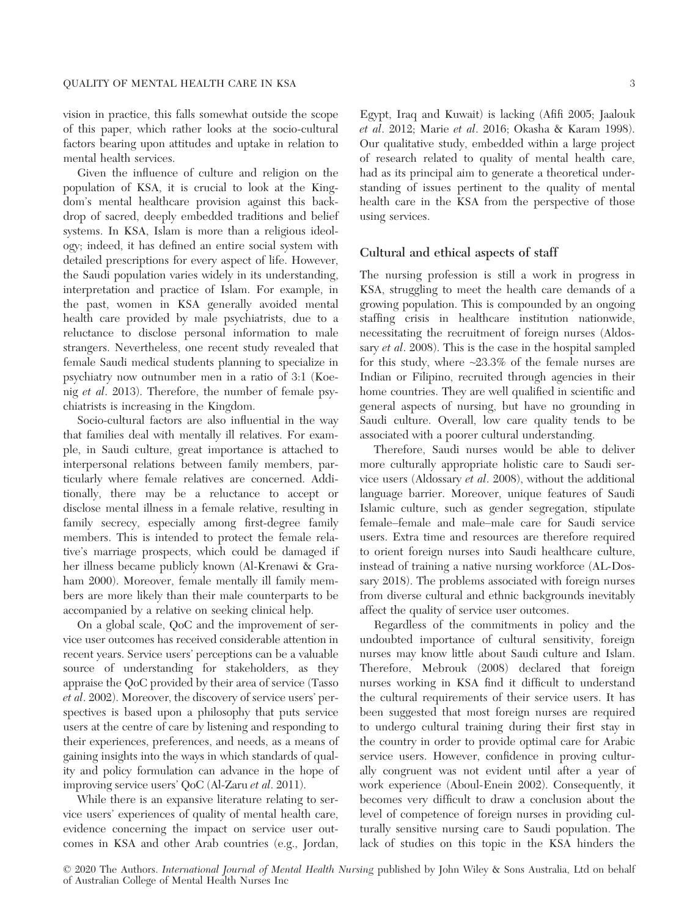vision in practice, this falls somewhat outside the scope of this paper, which rather looks at the socio-cultural factors bearing upon attitudes and uptake in relation to mental health services.

Given the influence of culture and religion on the population of KSA, it is crucial to look at the Kingdom's mental healthcare provision against this backdrop of sacred, deeply embedded traditions and belief systems. In KSA, Islam is more than a religious ideology; indeed, it has defined an entire social system with detailed prescriptions for every aspect of life. However, the Saudi population varies widely in its understanding, interpretation and practice of Islam. For example, in the past, women in KSA generally avoided mental health care provided by male psychiatrists, due to a reluctance to disclose personal information to male strangers. Nevertheless, one recent study revealed that female Saudi medical students planning to specialize in psychiatry now outnumber men in a ratio of 3:1 (Koenig et al. 2013). Therefore, the number of female psychiatrists is increasing in the Kingdom.

Socio-cultural factors are also influential in the way that families deal with mentally ill relatives. For example, in Saudi culture, great importance is attached to interpersonal relations between family members, particularly where female relatives are concerned. Additionally, there may be a reluctance to accept or disclose mental illness in a female relative, resulting in family secrecy, especially among first-degree family members. This is intended to protect the female relative's marriage prospects, which could be damaged if her illness became publicly known (Al-Krenawi & Graham 2000). Moreover, female mentally ill family members are more likely than their male counterparts to be accompanied by a relative on seeking clinical help.

On a global scale, QoC and the improvement of service user outcomes has received considerable attention in recent years. Service users' perceptions can be a valuable source of understanding for stakeholders, as they appraise the QoC provided by their area of service (Tasso et al. 2002). Moreover, the discovery of service users' perspectives is based upon a philosophy that puts service users at the centre of care by listening and responding to their experiences, preferences, and needs, as a means of gaining insights into the ways in which standards of quality and policy formulation can advance in the hope of improving service users' QoC (Al-Zaru et al. 2011).

While there is an expansive literature relating to service users' experiences of quality of mental health care, evidence concerning the impact on service user outcomes in KSA and other Arab countries (e.g., Jordan,

Egypt, Iraq and Kuwait) is lacking (Afifi 2005; Jaalouk et al. 2012; Marie et al. 2016; Okasha & Karam 1998). Our qualitative study, embedded within a large project of research related to quality of mental health care, had as its principal aim to generate a theoretical understanding of issues pertinent to the quality of mental health care in the KSA from the perspective of those using services.

## Cultural and ethical aspects of staff

The nursing profession is still a work in progress in KSA, struggling to meet the health care demands of a growing population. This is compounded by an ongoing staffing crisis in healthcare institution nationwide, necessitating the recruitment of foreign nurses (Aldossary *et al.* 2008). This is the case in the hospital sampled for this study, where ~23.3% of the female nurses are Indian or Filipino, recruited through agencies in their home countries. They are well qualified in scientific and general aspects of nursing, but have no grounding in Saudi culture. Overall, low care quality tends to be associated with a poorer cultural understanding.

Therefore, Saudi nurses would be able to deliver more culturally appropriate holistic care to Saudi service users (Aldossary et al. 2008), without the additional language barrier. Moreover, unique features of Saudi Islamic culture, such as gender segregation, stipulate female–female and male–male care for Saudi service users. Extra time and resources are therefore required to orient foreign nurses into Saudi healthcare culture, instead of training a native nursing workforce (AL-Dossary 2018). The problems associated with foreign nurses from diverse cultural and ethnic backgrounds inevitably affect the quality of service user outcomes.

Regardless of the commitments in policy and the undoubted importance of cultural sensitivity, foreign nurses may know little about Saudi culture and Islam. Therefore, Mebrouk (2008) declared that foreign nurses working in KSA find it difficult to understand the cultural requirements of their service users. It has been suggested that most foreign nurses are required to undergo cultural training during their first stay in the country in order to provide optimal care for Arabic service users. However, confidence in proving culturally congruent was not evident until after a year of work experience (Aboul-Enein 2002). Consequently, it becomes very difficult to draw a conclusion about the level of competence of foreign nurses in providing culturally sensitive nursing care to Saudi population. The lack of studies on this topic in the KSA hinders the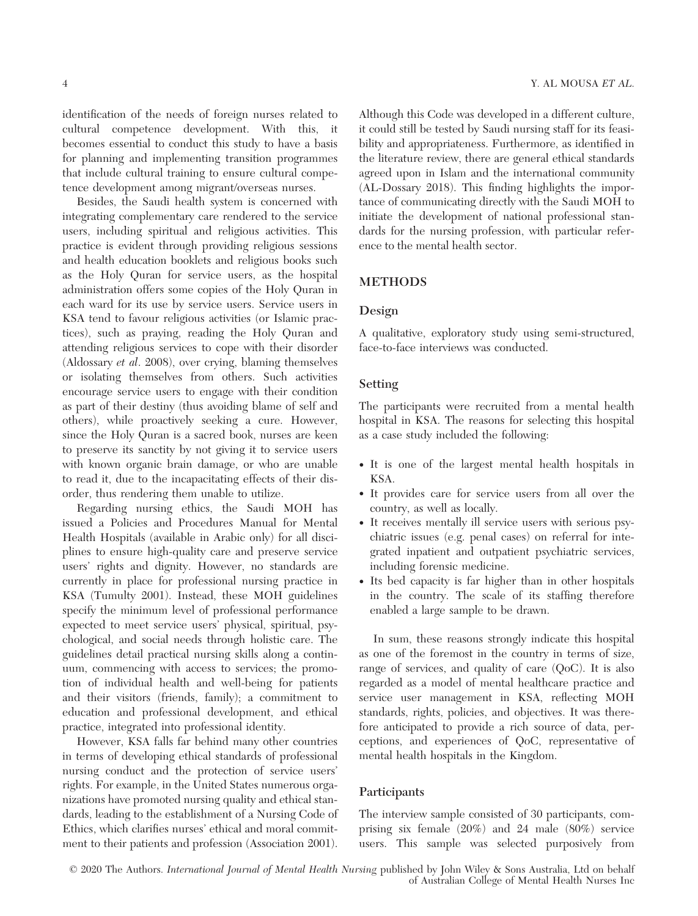identification of the needs of foreign nurses related to cultural competence development. With this, it becomes essential to conduct this study to have a basis for planning and implementing transition programmes that include cultural training to ensure cultural competence development among migrant/overseas nurses.

Besides, the Saudi health system is concerned with integrating complementary care rendered to the service users, including spiritual and religious activities. This practice is evident through providing religious sessions and health education booklets and religious books such as the Holy Quran for service users, as the hospital administration offers some copies of the Holy Quran in each ward for its use by service users. Service users in KSA tend to favour religious activities (or Islamic practices), such as praying, reading the Holy Quran and attending religious services to cope with their disorder (Aldossary et al. 2008), over crying, blaming themselves or isolating themselves from others. Such activities encourage service users to engage with their condition as part of their destiny (thus avoiding blame of self and others), while proactively seeking a cure. However, since the Holy Quran is a sacred book, nurses are keen to preserve its sanctity by not giving it to service users with known organic brain damage, or who are unable to read it, due to the incapacitating effects of their disorder, thus rendering them unable to utilize.

Regarding nursing ethics, the Saudi MOH has issued a Policies and Procedures Manual for Mental Health Hospitals (available in Arabic only) for all disciplines to ensure high-quality care and preserve service users' rights and dignity. However, no standards are currently in place for professional nursing practice in KSA (Tumulty 2001). Instead, these MOH guidelines specify the minimum level of professional performance expected to meet service users' physical, spiritual, psychological, and social needs through holistic care. The guidelines detail practical nursing skills along a continuum, commencing with access to services; the promotion of individual health and well-being for patients and their visitors (friends, family); a commitment to education and professional development, and ethical practice, integrated into professional identity.

However, KSA falls far behind many other countries in terms of developing ethical standards of professional nursing conduct and the protection of service users' rights. For example, in the United States numerous organizations have promoted nursing quality and ethical standards, leading to the establishment of a Nursing Code of Ethics, which clarifies nurses' ethical and moral commitment to their patients and profession (Association 2001).

Although this Code was developed in a different culture, it could still be tested by Saudi nursing staff for its feasibility and appropriateness. Furthermore, as identified in the literature review, there are general ethical standards agreed upon in Islam and the international community (AL-Dossary 2018). This finding highlights the importance of communicating directly with the Saudi MOH to initiate the development of national professional standards for the nursing profession, with particular reference to the mental health sector.

## METHODS

## Design

A qualitative, exploratory study using semi-structured, face-to-face interviews was conducted.

#### Setting

The participants were recruited from a mental health hospital in KSA. The reasons for selecting this hospital as a case study included the following:

- It is one of the largest mental health hospitals in KSA.
- It provides care for service users from all over the country, as well as locally.
- It receives mentally ill service users with serious psychiatric issues (e.g. penal cases) on referral for integrated inpatient and outpatient psychiatric services, including forensic medicine.
- Its bed capacity is far higher than in other hospitals in the country. The scale of its staffing therefore enabled a large sample to be drawn.

In sum, these reasons strongly indicate this hospital as one of the foremost in the country in terms of size, range of services, and quality of care (QoC). It is also regarded as a model of mental healthcare practice and service user management in KSA, reflecting MOH standards, rights, policies, and objectives. It was therefore anticipated to provide a rich source of data, perceptions, and experiences of QoC, representative of mental health hospitals in the Kingdom.

## Participants

The interview sample consisted of 30 participants, comprising six female (20%) and 24 male (80%) service users. This sample was selected purposively from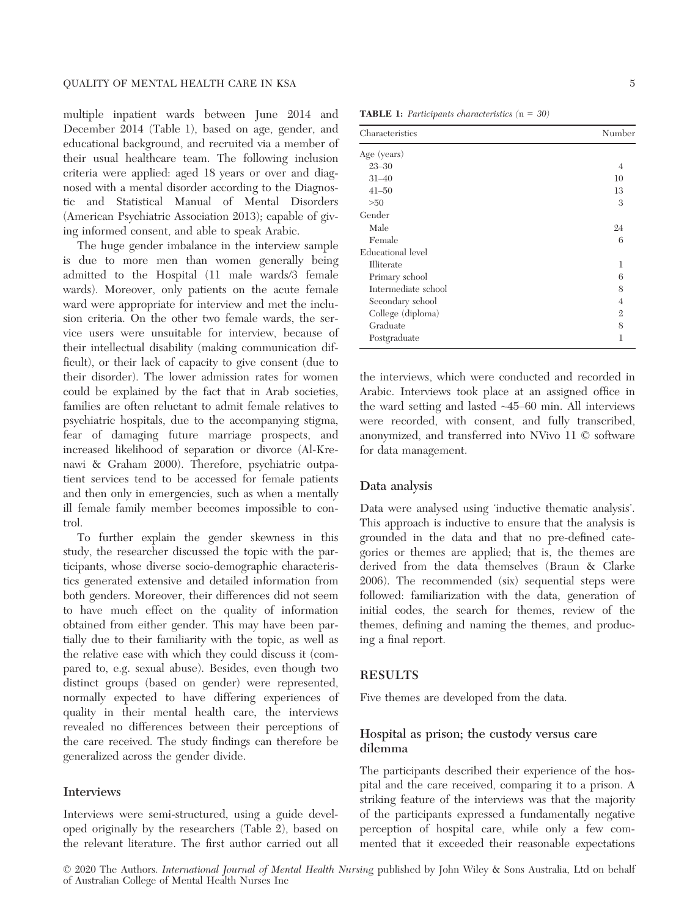multiple inpatient wards between June 2014 and December 2014 (Table 1), based on age, gender, and educational background, and recruited via a member of their usual healthcare team. The following inclusion criteria were applied: aged 18 years or over and diagnosed with a mental disorder according to the Diagnostic and Statistical Manual of Mental Disorders (American Psychiatric Association 2013); capable of giving informed consent, and able to speak Arabic.

The huge gender imbalance in the interview sample is due to more men than women generally being admitted to the Hospital (11 male wards/3 female wards). Moreover, only patients on the acute female ward were appropriate for interview and met the inclusion criteria. On the other two female wards, the service users were unsuitable for interview, because of their intellectual disability (making communication difficult), or their lack of capacity to give consent (due to their disorder). The lower admission rates for women could be explained by the fact that in Arab societies, families are often reluctant to admit female relatives to psychiatric hospitals, due to the accompanying stigma, fear of damaging future marriage prospects, and increased likelihood of separation or divorce (Al-Krenawi & Graham 2000). Therefore, psychiatric outpatient services tend to be accessed for female patients and then only in emergencies, such as when a mentally ill female family member becomes impossible to control.

To further explain the gender skewness in this study, the researcher discussed the topic with the participants, whose diverse socio-demographic characteristics generated extensive and detailed information from both genders. Moreover, their differences did not seem to have much effect on the quality of information obtained from either gender. This may have been partially due to their familiarity with the topic, as well as the relative ease with which they could discuss it (compared to, e.g. sexual abuse). Besides, even though two distinct groups (based on gender) were represented, normally expected to have differing experiences of quality in their mental health care, the interviews revealed no differences between their perceptions of the care received. The study findings can therefore be generalized across the gender divide.

## Interviews

Interviews were semi-structured, using a guide developed originally by the researchers (Table 2), based on the relevant literature. The first author carried out all

**TABLE 1:** Participants characteristics  $(n = 30)$ 

| Characteristics     | Number |
|---------------------|--------|
| Age (years)         |        |
| $23 - 30$           | 4      |
| $31 - 40$           | 10     |
| $41 - 50$           | 13     |
| >50                 | 3      |
| Gender              |        |
| Male                | 24     |
| Female              | 6      |
| Educational level   |        |
| Illiterate          | 1      |
| Primary school      | 6      |
| Intermediate school | 8      |
| Secondary school    | 4      |
| College (diploma)   | 2      |
| Graduate            | 8      |
| Postgraduate        | 1      |

the interviews, which were conducted and recorded in Arabic. Interviews took place at an assigned office in the ward setting and lasted ~45–60 min. All interviews were recorded, with consent, and fully transcribed, anonymized, and transferred into NVivo 11 © software for data management.

### Data analysis

Data were analysed using 'inductive thematic analysis'. This approach is inductive to ensure that the analysis is grounded in the data and that no pre-defined categories or themes are applied; that is, the themes are derived from the data themselves (Braun & Clarke 2006). The recommended (six) sequential steps were followed: familiarization with the data, generation of initial codes, the search for themes, review of the themes, defining and naming the themes, and producing a final report.

#### RESULTS

Five themes are developed from the data.

## Hospital as prison; the custody versus care dilemma

The participants described their experience of the hospital and the care received, comparing it to a prison. A striking feature of the interviews was that the majority of the participants expressed a fundamentally negative perception of hospital care, while only a few commented that it exceeded their reasonable expectations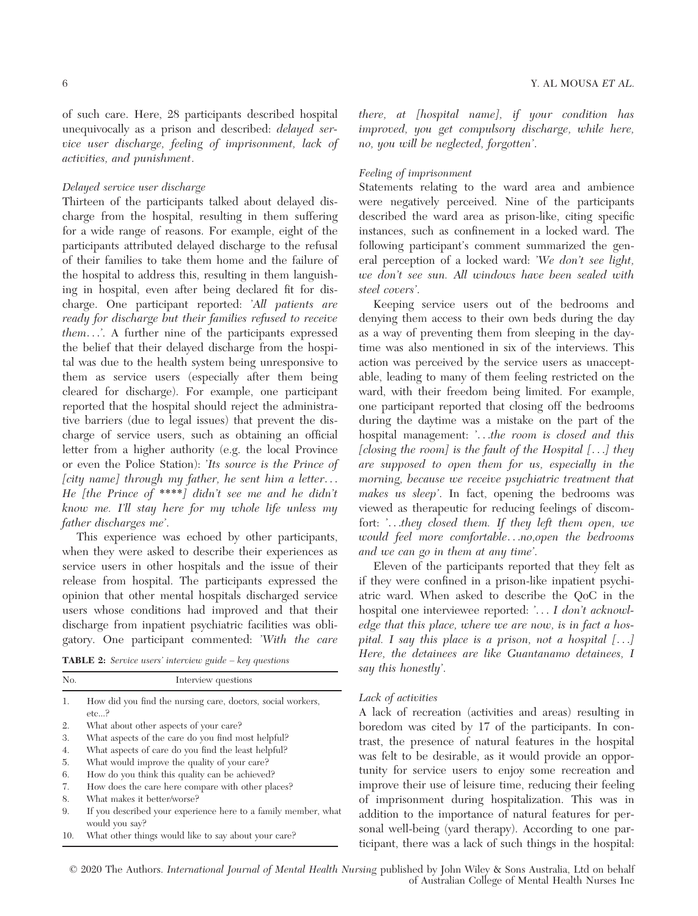of such care. Here, 28 participants described hospital unequivocally as a prison and described: delayed service user discharge, feeling of imprisonment, lack of activities, and punishment.

## Delayed service user discharge

Thirteen of the participants talked about delayed discharge from the hospital, resulting in them suffering for a wide range of reasons. For example, eight of the participants attributed delayed discharge to the refusal of their families to take them home and the failure of the hospital to address this, resulting in them languishing in hospital, even after being declared fit for discharge. One participant reported: 'All patients are ready for discharge but their families refused to receive them...'. A further nine of the participants expressed the belief that their delayed discharge from the hospital was due to the health system being unresponsive to them as service users (especially after them being cleared for discharge). For example, one participant reported that the hospital should reject the administrative barriers (due to legal issues) that prevent the discharge of service users, such as obtaining an official letter from a higher authority (e.g. the local Province or even the Police Station): 'Its source is the Prince of  $[city \ name]$  through my father, he sent him a letter... He [the Prince of \*\*\*\*] didn't see me and he didn't know me. I'll stay here for my whole life unless my father discharges me'.

This experience was echoed by other participants, when they were asked to describe their experiences as service users in other hospitals and the issue of their release from hospital. The participants expressed the opinion that other mental hospitals discharged service users whose conditions had improved and that their discharge from inpatient psychiatric facilities was obligatory. One participant commented: 'With the care

**TABLE 2:** Service users' interview guide  $-$  key questions

| No. | Interview questions                                                              |
|-----|----------------------------------------------------------------------------------|
| 1.  | How did you find the nursing care, doctors, social workers,                      |
|     | etc?                                                                             |
| 2.  | What about other aspects of your care?                                           |
| 3.  | What aspects of the care do you find most helpful?                               |
| 4.  | What aspects of care do you find the least helpful?                              |
| 5.  | What would improve the quality of your care?                                     |
| 6.  | How do you think this quality can be achieved?                                   |
| 7.  | How does the care here compare with other places?                                |
| 8.  | What makes it better/worse?                                                      |
| 9.  | If you described your experience here to a family member, what<br>would you say? |
| 10. | What other things would like to say about your care?                             |

there, at [hospital name], if your condition has improved, you get compulsory discharge, while here, no, you will be neglected, forgotten'.

## Feeling of imprisonment

Statements relating to the ward area and ambience were negatively perceived. Nine of the participants described the ward area as prison-like, citing specific instances, such as confinement in a locked ward. The following participant's comment summarized the general perception of a locked ward: 'We don't see light, we don't see sun. All windows have been sealed with steel covers'.

Keeping service users out of the bedrooms and denying them access to their own beds during the day as a way of preventing them from sleeping in the daytime was also mentioned in six of the interviews. This action was perceived by the service users as unacceptable, leading to many of them feeling restricted on the ward, with their freedom being limited. For example, one participant reported that closing off the bedrooms during the daytime was a mistake on the part of the hospital management: '...the room is closed and this [closing the room] is the fault of the Hospital  $[...]$  they are supposed to open them for us, especially in the morning, because we receive psychiatric treatment that makes us sleep'. In fact, opening the bedrooms was viewed as therapeutic for reducing feelings of discomfort: '...they closed them. If they left them open, we would feel more comfortable...no,open the bedrooms and we can go in them at any time'.

Eleven of the participants reported that they felt as if they were confined in a prison-like inpatient psychiatric ward. When asked to describe the QoC in the hospital one interviewee reported: '... I don't acknowledge that this place, where we are now, is in fact a hospital. I say this place is a prison, not a hospital  $[...]$ Here, the detainees are like Guantanamo detainees, I say this honestly'.

#### Lack of activities

A lack of recreation (activities and areas) resulting in boredom was cited by 17 of the participants. In contrast, the presence of natural features in the hospital was felt to be desirable, as it would provide an opportunity for service users to enjoy some recreation and improve their use of leisure time, reducing their feeling of imprisonment during hospitalization. This was in addition to the importance of natural features for personal well-being (yard therapy). According to one participant, there was a lack of such things in the hospital: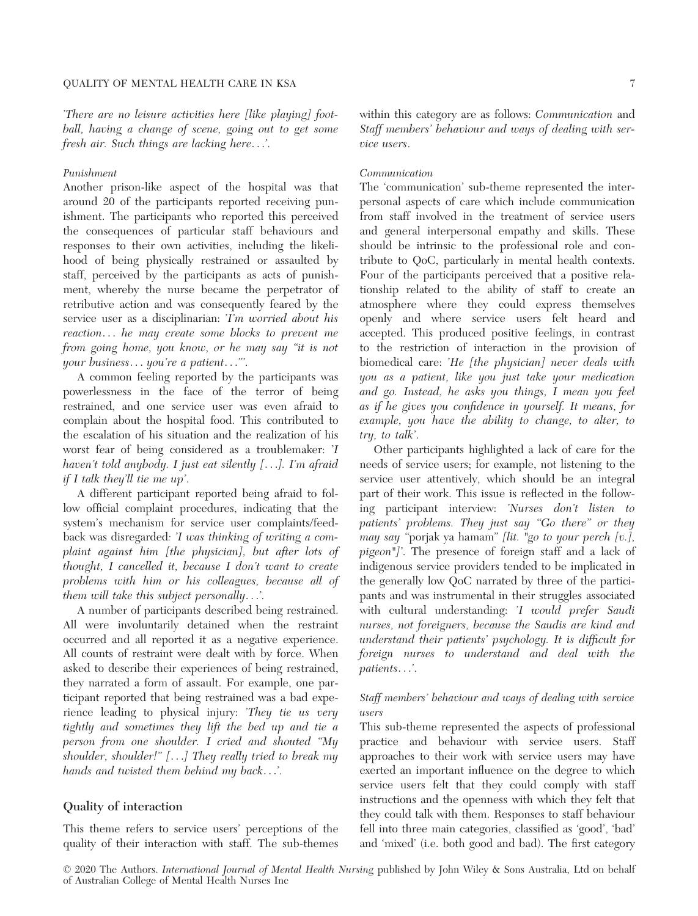## QUALITY OF MENTAL HEALTH CARE IN KSA 7

'There are no leisure activities here [like playing] football, having a change of scene, going out to get some fresh air. Such things are lacking here...'.

#### Punishment

Another prison-like aspect of the hospital was that around 20 of the participants reported receiving punishment. The participants who reported this perceived the consequences of particular staff behaviours and responses to their own activities, including the likelihood of being physically restrained or assaulted by staff, perceived by the participants as acts of punishment, whereby the nurse became the perpetrator of retributive action and was consequently feared by the service user as a disciplinarian: 'I'm worried about his reaction... he may create some blocks to prevent me from going home, you know, or he may say "it is not your business... you're a patient..."'.

A common feeling reported by the participants was powerlessness in the face of the terror of being restrained, and one service user was even afraid to complain about the hospital food. This contributed to the escalation of his situation and the realization of his worst fear of being considered as a troublemaker: 'I haven't told anybody. I just eat silently [...]. I'm afraid if I talk they'll tie me up'.

A different participant reported being afraid to follow official complaint procedures, indicating that the system's mechanism for service user complaints/feedback was disregarded: 'I was thinking of writing a complaint against him [the physician], but after lots of thought, I cancelled it, because I don't want to create problems with him or his colleagues, because all of them will take this subject personally.....

A number of participants described being restrained. All were involuntarily detained when the restraint occurred and all reported it as a negative experience. All counts of restraint were dealt with by force. When asked to describe their experiences of being restrained, they narrated a form of assault. For example, one participant reported that being restrained was a bad experience leading to physical injury: 'They tie us very tightly and sometimes they lift the bed up and tie a person from one shoulder. I cried and shouted "My shoulder, shoulder!"  $[...]$  They really tried to break my hands and twisted them behind my back...'.

## Quality of interaction

This theme refers to service users' perceptions of the quality of their interaction with staff. The sub-themes

within this category are as follows: Communication and Staff members' behaviour and ways of dealing with service users.

#### Communication

The 'communication' sub-theme represented the interpersonal aspects of care which include communication from staff involved in the treatment of service users and general interpersonal empathy and skills. These should be intrinsic to the professional role and contribute to QoC, particularly in mental health contexts. Four of the participants perceived that a positive relationship related to the ability of staff to create an atmosphere where they could express themselves openly and where service users felt heard and accepted. This produced positive feelings, in contrast to the restriction of interaction in the provision of biomedical care: 'He [the physician] never deals with you as a patient, like you just take your medication and go. Instead, he asks you things, I mean you feel as if he gives you confidence in yourself. It means, for example, you have the ability to change, to alter, to try, to talk'.

Other participants highlighted a lack of care for the needs of service users; for example, not listening to the service user attentively, which should be an integral part of their work. This issue is reflected in the following participant interview: 'Nurses don't listen to patients' problems. They just say "Go there" or they may say "porjak ya hamam" [lit. "go to your perch [v.], pigeon"]'. The presence of foreign staff and a lack of indigenous service providers tended to be implicated in the generally low QoC narrated by three of the participants and was instrumental in their struggles associated with cultural understanding: 'I would prefer Saudi nurses, not foreigners, because the Saudis are kind and understand their patients' psychology. It is difficult for foreign nurses to understand and deal with the patients...'.

## Staff members' behaviour and ways of dealing with service users

This sub-theme represented the aspects of professional practice and behaviour with service users. Staff approaches to their work with service users may have exerted an important influence on the degree to which service users felt that they could comply with staff instructions and the openness with which they felt that they could talk with them. Responses to staff behaviour fell into three main categories, classified as 'good', 'bad' and 'mixed' (i.e. both good and bad). The first category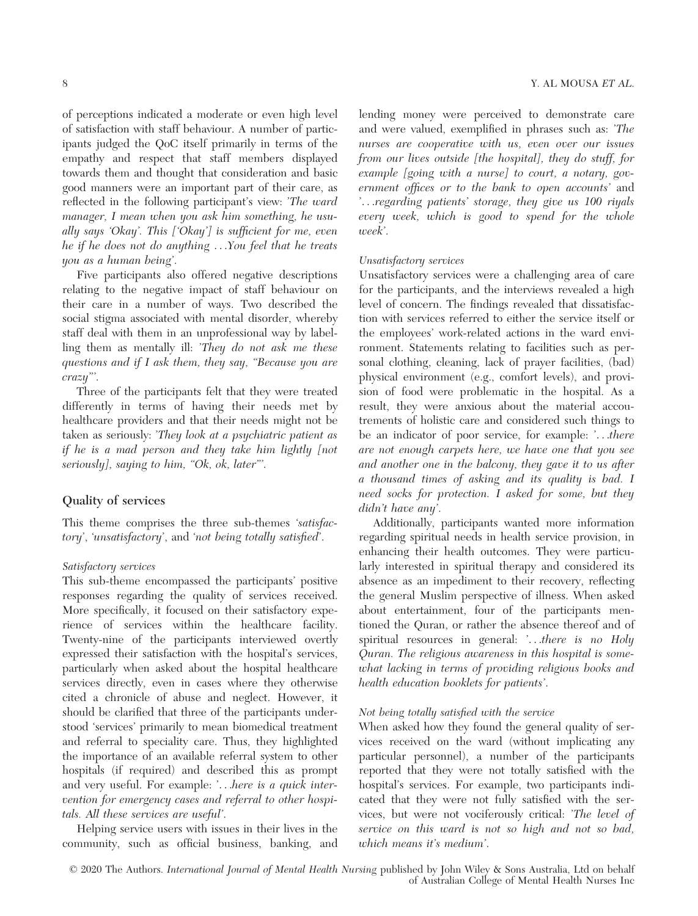of perceptions indicated a moderate or even high level of satisfaction with staff behaviour. A number of participants judged the QoC itself primarily in terms of the empathy and respect that staff members displayed towards them and thought that consideration and basic good manners were an important part of their care, as reflected in the following participant's view: 'The ward manager, I mean when you ask him something, he usually says 'Okay'. This ['Okay'] is sufficient for me, even he if he does not do anything ...You feel that he treats you as a human being'.

Five participants also offered negative descriptions relating to the negative impact of staff behaviour on their care in a number of ways. Two described the social stigma associated with mental disorder, whereby staff deal with them in an unprofessional way by labelling them as mentally ill: 'They do not ask me these questions and if I ask them, they say, "Because you are crazy"'.

Three of the participants felt that they were treated differently in terms of having their needs met by healthcare providers and that their needs might not be taken as seriously: 'They look at a psychiatric patient as if he is a mad person and they take him lightly [not seriously], saying to him, "Ok, ok, later"".

## Quality of services

This theme comprises the three sub-themes 'satisfactory', 'unsatisfactory', and 'not being totally satisfied'.

#### Satisfactory services

This sub-theme encompassed the participants' positive responses regarding the quality of services received. More specifically, it focused on their satisfactory experience of services within the healthcare facility. Twenty-nine of the participants interviewed overtly expressed their satisfaction with the hospital's services, particularly when asked about the hospital healthcare services directly, even in cases where they otherwise cited a chronicle of abuse and neglect. However, it should be clarified that three of the participants understood 'services' primarily to mean biomedical treatment and referral to speciality care. Thus, they highlighted the importance of an available referral system to other hospitals (if required) and described this as prompt and very useful. For example: '...*here is a quick inter*vention for emergency cases and referral to other hospitals. All these services are useful'.

Helping service users with issues in their lives in the community, such as official business, banking, and lending money were perceived to demonstrate care and were valued, exemplified in phrases such as: 'The nurses are cooperative with us, even over our issues from our lives outside [the hospital], they do stuff, for example [going with a nurse] to court, a notary, government offices or to the bank to open accounts' and '...regarding patients' storage, they give us 100 riyals every week, which is good to spend for the whole week'.

#### Unsatisfactory services

Unsatisfactory services were a challenging area of care for the participants, and the interviews revealed a high level of concern. The findings revealed that dissatisfaction with services referred to either the service itself or the employees' work-related actions in the ward environment. Statements relating to facilities such as personal clothing, cleaning, lack of prayer facilities, (bad) physical environment (e.g., comfort levels), and provision of food were problematic in the hospital. As a result, they were anxious about the material accoutrements of holistic care and considered such things to be an indicator of poor service, for example: '...there are not enough carpets here, we have one that you see and another one in the balcony, they gave it to us after a thousand times of asking and its quality is bad. I need socks for protection. I asked for some, but they didn't have any'.

Additionally, participants wanted more information regarding spiritual needs in health service provision, in enhancing their health outcomes. They were particularly interested in spiritual therapy and considered its absence as an impediment to their recovery, reflecting the general Muslim perspective of illness. When asked about entertainment, four of the participants mentioned the Quran, or rather the absence thereof and of spiritual resources in general: '...there is no Holy Quran. The religious awareness in this hospital is somewhat lacking in terms of providing religious books and health education booklets for patients'.

## Not being totally satisfied with the service

When asked how they found the general quality of services received on the ward (without implicating any particular personnel), a number of the participants reported that they were not totally satisfied with the hospital's services. For example, two participants indicated that they were not fully satisfied with the services, but were not vociferously critical: 'The level of service on this ward is not so high and not so bad, which means it's medium'.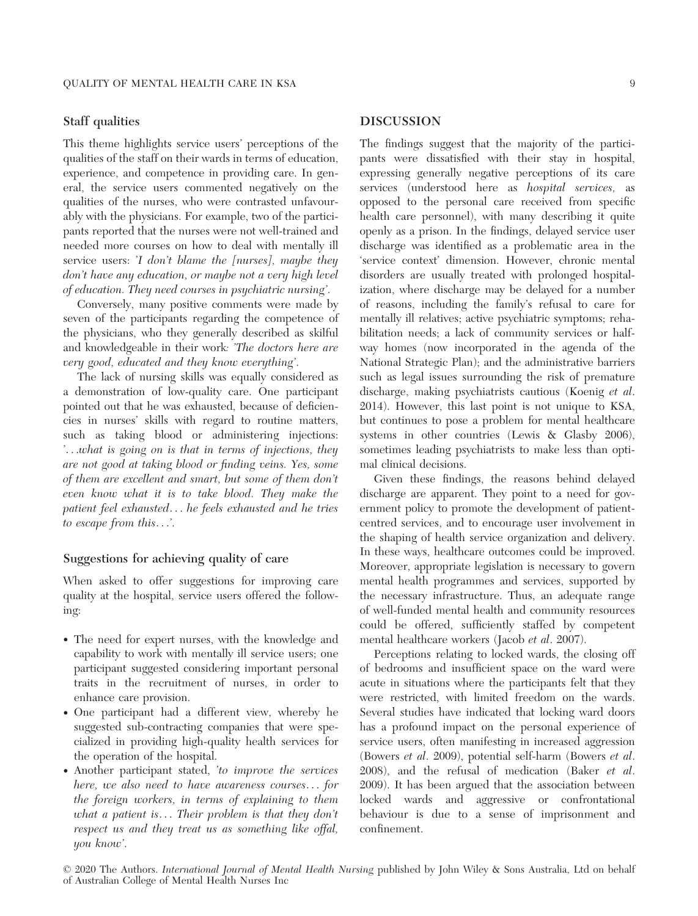## Staff qualities

This theme highlights service users' perceptions of the qualities of the staff on their wards in terms of education, experience, and competence in providing care. In general, the service users commented negatively on the qualities of the nurses, who were contrasted unfavourably with the physicians. For example, two of the participants reported that the nurses were not well-trained and needed more courses on how to deal with mentally ill service users: 'I don't blame the [nurses], maybe they don't have any education, or maybe not a very high level of education. They need courses in psychiatric nursing'.

Conversely, many positive comments were made by seven of the participants regarding the competence of the physicians, who they generally described as skilful and knowledgeable in their work: 'The doctors here are very good, educated and they know everything'.

The lack of nursing skills was equally considered as a demonstration of low-quality care. One participant pointed out that he was exhausted, because of deficiencies in nurses' skills with regard to routine matters, such as taking blood or administering injections: '...what is going on is that in terms of injections, they are not good at taking blood or finding veins. Yes, some of them are excellent and smart, but some of them don't even know what it is to take blood. They make the patient feel exhausted... he feels exhausted and he tries to escape from this...'.

## Suggestions for achieving quality of care

When asked to offer suggestions for improving care quality at the hospital, service users offered the following:

- The need for expert nurses, with the knowledge and capability to work with mentally ill service users; one participant suggested considering important personal traits in the recruitment of nurses, in order to enhance care provision.
- One participant had a different view, whereby he suggested sub-contracting companies that were specialized in providing high-quality health services for the operation of the hospital.
- Another participant stated, 'to improve the services here, we also need to have awareness courses... for the foreign workers, in terms of explaining to them what a patient is... Their problem is that they don't respect us and they treat us as something like offal, you know'.

## DISCUSSION

The findings suggest that the majority of the participants were dissatisfied with their stay in hospital, expressing generally negative perceptions of its care services (understood here as hospital services, as opposed to the personal care received from specific health care personnel), with many describing it quite openly as a prison. In the findings, delayed service user discharge was identified as a problematic area in the 'service context' dimension. However, chronic mental disorders are usually treated with prolonged hospitalization, where discharge may be delayed for a number of reasons, including the family's refusal to care for mentally ill relatives; active psychiatric symptoms; rehabilitation needs; a lack of community services or halfway homes (now incorporated in the agenda of the National Strategic Plan); and the administrative barriers such as legal issues surrounding the risk of premature discharge, making psychiatrists cautious (Koenig et al. 2014). However, this last point is not unique to KSA, but continues to pose a problem for mental healthcare systems in other countries (Lewis & Glasby 2006), sometimes leading psychiatrists to make less than optimal clinical decisions.

Given these findings, the reasons behind delayed discharge are apparent. They point to a need for government policy to promote the development of patientcentred services, and to encourage user involvement in the shaping of health service organization and delivery. In these ways, healthcare outcomes could be improved. Moreover, appropriate legislation is necessary to govern mental health programmes and services, supported by the necessary infrastructure. Thus, an adequate range of well-funded mental health and community resources could be offered, sufficiently staffed by competent mental healthcare workers (Jacob et al. 2007).

Perceptions relating to locked wards, the closing off of bedrooms and insufficient space on the ward were acute in situations where the participants felt that they were restricted, with limited freedom on the wards. Several studies have indicated that locking ward doors has a profound impact on the personal experience of service users, often manifesting in increased aggression (Bowers et al. 2009), potential self-harm (Bowers et al. 2008), and the refusal of medication (Baker et al. 2009). It has been argued that the association between locked wards and aggressive or confrontational behaviour is due to a sense of imprisonment and confinement.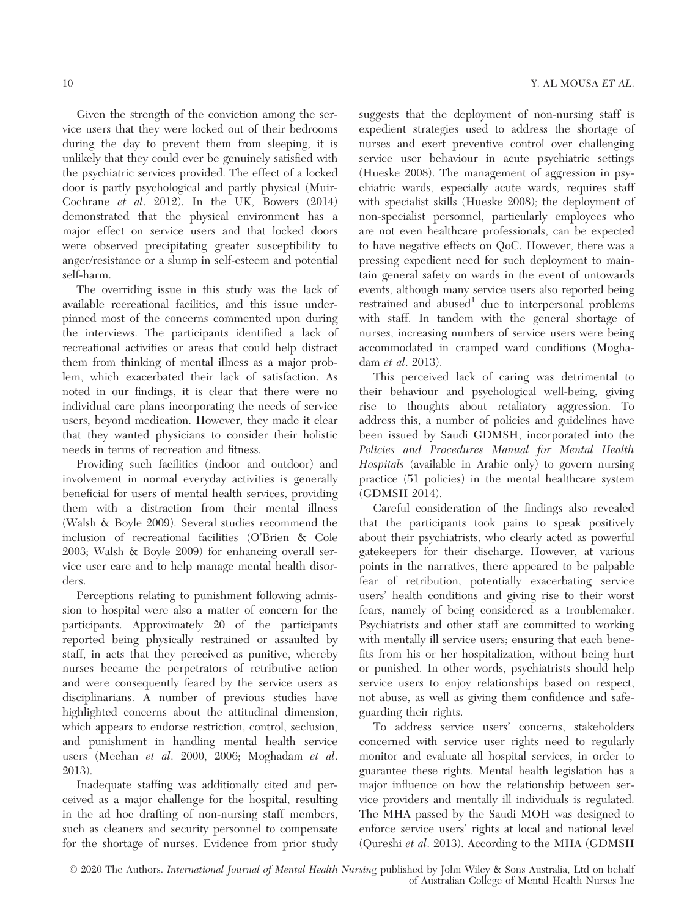Given the strength of the conviction among the service users that they were locked out of their bedrooms during the day to prevent them from sleeping, it is unlikely that they could ever be genuinely satisfied with the psychiatric services provided. The effect of a locked door is partly psychological and partly physical (Muir-Cochrane et al. 2012). In the UK, Bowers (2014) demonstrated that the physical environment has a major effect on service users and that locked doors were observed precipitating greater susceptibility to anger/resistance or a slump in self-esteem and potential

The overriding issue in this study was the lack of available recreational facilities, and this issue underpinned most of the concerns commented upon during the interviews. The participants identified a lack of recreational activities or areas that could help distract them from thinking of mental illness as a major problem, which exacerbated their lack of satisfaction. As noted in our findings, it is clear that there were no individual care plans incorporating the needs of service users, beyond medication. However, they made it clear that they wanted physicians to consider their holistic needs in terms of recreation and fitness.

Providing such facilities (indoor and outdoor) and involvement in normal everyday activities is generally beneficial for users of mental health services, providing them with a distraction from their mental illness (Walsh & Boyle 2009). Several studies recommend the inclusion of recreational facilities (O'Brien & Cole 2003; Walsh & Boyle 2009) for enhancing overall service user care and to help manage mental health disorders.

Perceptions relating to punishment following admission to hospital were also a matter of concern for the participants. Approximately 20 of the participants reported being physically restrained or assaulted by staff, in acts that they perceived as punitive, whereby nurses became the perpetrators of retributive action and were consequently feared by the service users as disciplinarians. A number of previous studies have highlighted concerns about the attitudinal dimension, which appears to endorse restriction, control, seclusion, and punishment in handling mental health service users (Meehan et al. 2000, 2006; Moghadam et al. 2013).

Inadequate staffing was additionally cited and perceived as a major challenge for the hospital, resulting in the ad hoc drafting of non-nursing staff members, such as cleaners and security personnel to compensate for the shortage of nurses. Evidence from prior study

suggests that the deployment of non-nursing staff is expedient strategies used to address the shortage of nurses and exert preventive control over challenging service user behaviour in acute psychiatric settings (Hueske 2008). The management of aggression in psychiatric wards, especially acute wards, requires staff with specialist skills (Hueske 2008); the deployment of non-specialist personnel, particularly employees who are not even healthcare professionals, can be expected to have negative effects on QoC. However, there was a pressing expedient need for such deployment to maintain general safety on wards in the event of untowards events, although many service users also reported being restrained and abused<sup>1</sup> due to interpersonal problems with staff. In tandem with the general shortage of nurses, increasing numbers of service users were being accommodated in cramped ward conditions (Moghadam et al. 2013).

This perceived lack of caring was detrimental to their behaviour and psychological well-being, giving rise to thoughts about retaliatory aggression. To address this, a number of policies and guidelines have been issued by Saudi GDMSH, incorporated into the Policies and Procedures Manual for Mental Health Hospitals (available in Arabic only) to govern nursing practice (51 policies) in the mental healthcare system (GDMSH 2014).

Careful consideration of the findings also revealed that the participants took pains to speak positively about their psychiatrists, who clearly acted as powerful gatekeepers for their discharge. However, at various points in the narratives, there appeared to be palpable fear of retribution, potentially exacerbating service users' health conditions and giving rise to their worst fears, namely of being considered as a troublemaker. Psychiatrists and other staff are committed to working with mentally ill service users; ensuring that each benefits from his or her hospitalization, without being hurt or punished. In other words, psychiatrists should help service users to enjoy relationships based on respect, not abuse, as well as giving them confidence and safeguarding their rights.

To address service users' concerns, stakeholders concerned with service user rights need to regularly monitor and evaluate all hospital services, in order to guarantee these rights. Mental health legislation has a major influence on how the relationship between service providers and mentally ill individuals is regulated. The MHA passed by the Saudi MOH was designed to enforce service users' rights at local and national level (Qureshi et al. 2013). According to the MHA (GDMSH

self-harm.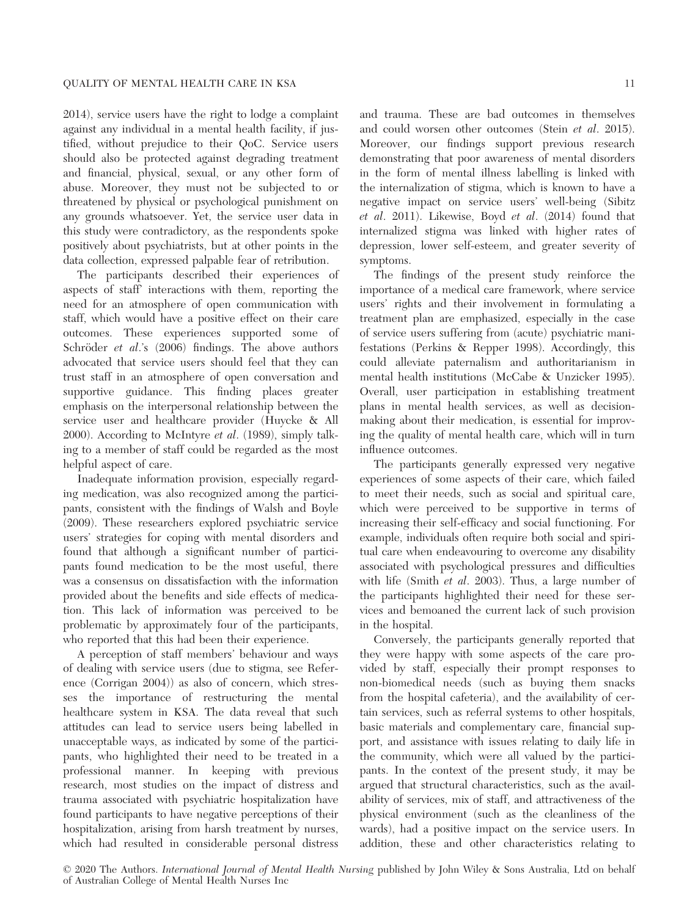2014), service users have the right to lodge a complaint against any individual in a mental health facility, if justified, without prejudice to their QoC. Service users should also be protected against degrading treatment and financial, physical, sexual, or any other form of abuse. Moreover, they must not be subjected to or threatened by physical or psychological punishment on any grounds whatsoever. Yet, the service user data in this study were contradictory, as the respondents spoke positively about psychiatrists, but at other points in the data collection, expressed palpable fear of retribution.

The participants described their experiences of aspects of staff' interactions with them, reporting the need for an atmosphere of open communication with staff, which would have a positive effect on their care outcomes. These experiences supported some of Schröder et al.'s  $(2006)$  findings. The above authors advocated that service users should feel that they can trust staff in an atmosphere of open conversation and supportive guidance. This finding places greater emphasis on the interpersonal relationship between the service user and healthcare provider (Huycke & All 2000). According to McIntyre et al. (1989), simply talking to a member of staff could be regarded as the most helpful aspect of care.

Inadequate information provision, especially regarding medication, was also recognized among the participants, consistent with the findings of Walsh and Boyle (2009). These researchers explored psychiatric service users' strategies for coping with mental disorders and found that although a significant number of participants found medication to be the most useful, there was a consensus on dissatisfaction with the information provided about the benefits and side effects of medication. This lack of information was perceived to be problematic by approximately four of the participants, who reported that this had been their experience.

A perception of staff members' behaviour and ways of dealing with service users (due to stigma, see Reference (Corrigan 2004)) as also of concern, which stresses the importance of restructuring the mental healthcare system in KSA. The data reveal that such attitudes can lead to service users being labelled in unacceptable ways, as indicated by some of the participants, who highlighted their need to be treated in a professional manner. In keeping with previous research, most studies on the impact of distress and trauma associated with psychiatric hospitalization have found participants to have negative perceptions of their hospitalization, arising from harsh treatment by nurses, which had resulted in considerable personal distress

and trauma. These are bad outcomes in themselves and could worsen other outcomes (Stein et al. 2015). Moreover, our findings support previous research demonstrating that poor awareness of mental disorders in the form of mental illness labelling is linked with the internalization of stigma, which is known to have a negative impact on service users' well-being (Sibitz et al. 2011). Likewise, Boyd et al. (2014) found that internalized stigma was linked with higher rates of depression, lower self-esteem, and greater severity of symptoms.

The findings of the present study reinforce the importance of a medical care framework, where service users' rights and their involvement in formulating a treatment plan are emphasized, especially in the case of service users suffering from (acute) psychiatric manifestations (Perkins & Repper 1998). Accordingly, this could alleviate paternalism and authoritarianism in mental health institutions (McCabe & Unzicker 1995). Overall, user participation in establishing treatment plans in mental health services, as well as decisionmaking about their medication, is essential for improving the quality of mental health care, which will in turn influence outcomes.

The participants generally expressed very negative experiences of some aspects of their care, which failed to meet their needs, such as social and spiritual care, which were perceived to be supportive in terms of increasing their self-efficacy and social functioning. For example, individuals often require both social and spiritual care when endeavouring to overcome any disability associated with psychological pressures and difficulties with life (Smith et al. 2003). Thus, a large number of the participants highlighted their need for these services and bemoaned the current lack of such provision in the hospital.

Conversely, the participants generally reported that they were happy with some aspects of the care provided by staff, especially their prompt responses to non-biomedical needs (such as buying them snacks from the hospital cafeteria), and the availability of certain services, such as referral systems to other hospitals, basic materials and complementary care, financial support, and assistance with issues relating to daily life in the community, which were all valued by the participants. In the context of the present study, it may be argued that structural characteristics, such as the availability of services, mix of staff, and attractiveness of the physical environment (such as the cleanliness of the wards), had a positive impact on the service users. In addition, these and other characteristics relating to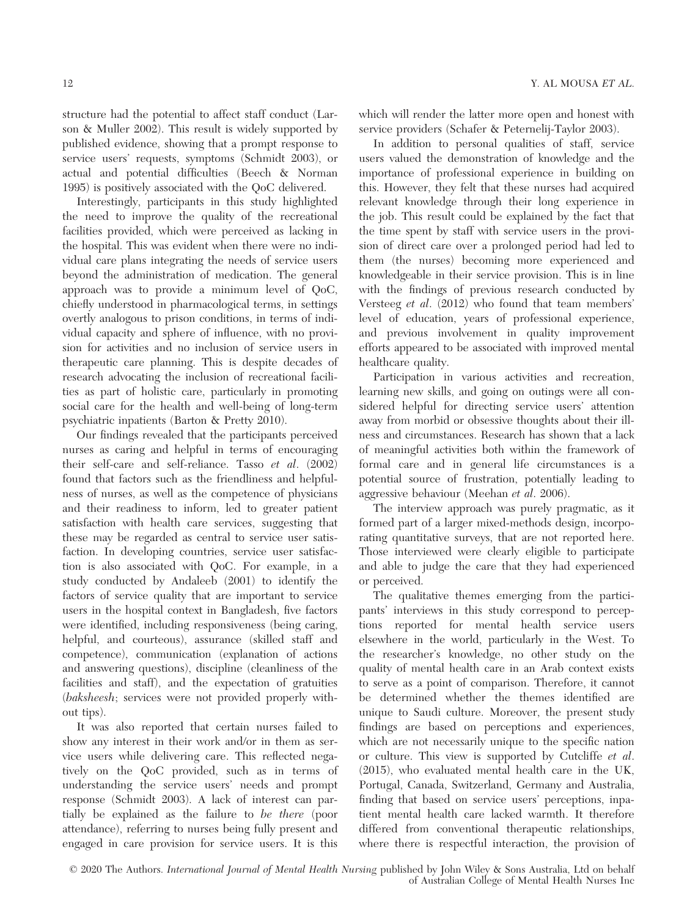structure had the potential to affect staff conduct (Larson & Muller 2002). This result is widely supported by published evidence, showing that a prompt response to service users' requests, symptoms (Schmidt 2003), or actual and potential difficulties (Beech & Norman 1995) is positively associated with the QoC delivered.

Interestingly, participants in this study highlighted the need to improve the quality of the recreational facilities provided, which were perceived as lacking in the hospital. This was evident when there were no individual care plans integrating the needs of service users beyond the administration of medication. The general approach was to provide a minimum level of QoC, chiefly understood in pharmacological terms, in settings overtly analogous to prison conditions, in terms of individual capacity and sphere of influence, with no provision for activities and no inclusion of service users in therapeutic care planning. This is despite decades of research advocating the inclusion of recreational facilities as part of holistic care, particularly in promoting social care for the health and well-being of long-term psychiatric inpatients (Barton & Pretty 2010).

Our findings revealed that the participants perceived nurses as caring and helpful in terms of encouraging their self-care and self-reliance. Tasso et al. (2002) found that factors such as the friendliness and helpfulness of nurses, as well as the competence of physicians and their readiness to inform, led to greater patient satisfaction with health care services, suggesting that these may be regarded as central to service user satisfaction. In developing countries, service user satisfaction is also associated with QoC. For example, in a study conducted by Andaleeb (2001) to identify the factors of service quality that are important to service users in the hospital context in Bangladesh, five factors were identified, including responsiveness (being caring, helpful, and courteous), assurance (skilled staff and competence), communication (explanation of actions and answering questions), discipline (cleanliness of the facilities and staff), and the expectation of gratuities (baksheesh; services were not provided properly without tips).

It was also reported that certain nurses failed to show any interest in their work and/or in them as service users while delivering care. This reflected negatively on the QoC provided, such as in terms of understanding the service users' needs and prompt response (Schmidt 2003). A lack of interest can partially be explained as the failure to be there (poor attendance), referring to nurses being fully present and engaged in care provision for service users. It is this

which will render the latter more open and honest with service providers (Schafer & Peternelij-Taylor 2003).

In addition to personal qualities of staff, service users valued the demonstration of knowledge and the importance of professional experience in building on this. However, they felt that these nurses had acquired relevant knowledge through their long experience in the job. This result could be explained by the fact that the time spent by staff with service users in the provision of direct care over a prolonged period had led to them (the nurses) becoming more experienced and knowledgeable in their service provision. This is in line with the findings of previous research conducted by Versteeg et al. (2012) who found that team members' level of education, years of professional experience, and previous involvement in quality improvement efforts appeared to be associated with improved mental healthcare quality.

Participation in various activities and recreation, learning new skills, and going on outings were all considered helpful for directing service users' attention away from morbid or obsessive thoughts about their illness and circumstances. Research has shown that a lack of meaningful activities both within the framework of formal care and in general life circumstances is a potential source of frustration, potentially leading to aggressive behaviour (Meehan et al. 2006).

The interview approach was purely pragmatic, as it formed part of a larger mixed-methods design, incorporating quantitative surveys, that are not reported here. Those interviewed were clearly eligible to participate and able to judge the care that they had experienced or perceived.

The qualitative themes emerging from the participants' interviews in this study correspond to perceptions reported for mental health service users elsewhere in the world, particularly in the West. To the researcher's knowledge, no other study on the quality of mental health care in an Arab context exists to serve as a point of comparison. Therefore, it cannot be determined whether the themes identified are unique to Saudi culture. Moreover, the present study findings are based on perceptions and experiences, which are not necessarily unique to the specific nation or culture. This view is supported by Cutcliffe et al. (2015), who evaluated mental health care in the UK, Portugal, Canada, Switzerland, Germany and Australia, finding that based on service users' perceptions, inpatient mental health care lacked warmth. It therefore differed from conventional therapeutic relationships, where there is respectful interaction, the provision of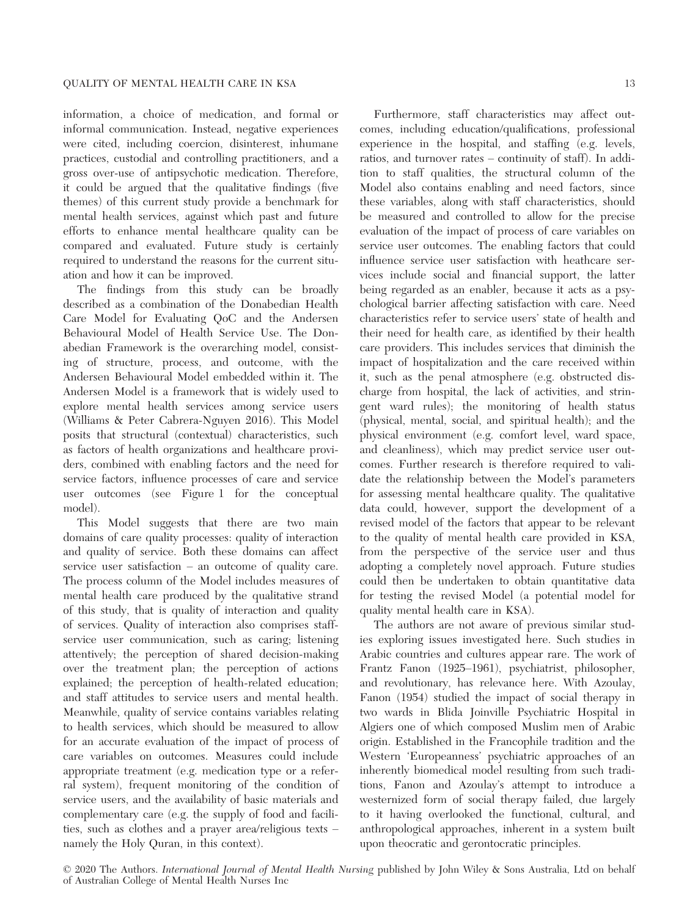information, a choice of medication, and formal or informal communication. Instead, negative experiences were cited, including coercion, disinterest, inhumane practices, custodial and controlling practitioners, and a gross over-use of antipsychotic medication. Therefore, it could be argued that the qualitative findings (five themes) of this current study provide a benchmark for mental health services, against which past and future efforts to enhance mental healthcare quality can be compared and evaluated. Future study is certainly required to understand the reasons for the current situation and how it can be improved.

The findings from this study can be broadly described as a combination of the Donabedian Health Care Model for Evaluating QoC and the Andersen Behavioural Model of Health Service Use. The Donabedian Framework is the overarching model, consisting of structure, process, and outcome, with the Andersen Behavioural Model embedded within it. The Andersen Model is a framework that is widely used to explore mental health services among service users (Williams & Peter Cabrera-Nguyen 2016). This Model posits that structural (contextual) characteristics, such as factors of health organizations and healthcare providers, combined with enabling factors and the need for service factors, influence processes of care and service user outcomes (see Figure 1 for the conceptual model).

This Model suggests that there are two main domains of care quality processes: quality of interaction and quality of service. Both these domains can affect service user satisfaction – an outcome of quality care. The process column of the Model includes measures of mental health care produced by the qualitative strand of this study, that is quality of interaction and quality of services. Quality of interaction also comprises staffservice user communication, such as caring; listening attentively; the perception of shared decision-making over the treatment plan; the perception of actions explained; the perception of health-related education; and staff attitudes to service users and mental health. Meanwhile, quality of service contains variables relating to health services, which should be measured to allow for an accurate evaluation of the impact of process of care variables on outcomes. Measures could include appropriate treatment (e.g. medication type or a referral system), frequent monitoring of the condition of service users, and the availability of basic materials and complementary care (e.g. the supply of food and facilities, such as clothes and a prayer area/religious texts – namely the Holy Quran, in this context).

Furthermore, staff characteristics may affect outcomes, including education/qualifications, professional experience in the hospital, and staffing (e.g. levels, ratios, and turnover rates – continuity of staff). In addition to staff qualities, the structural column of the Model also contains enabling and need factors, since these variables, along with staff characteristics, should be measured and controlled to allow for the precise evaluation of the impact of process of care variables on service user outcomes. The enabling factors that could influence service user satisfaction with heathcare services include social and financial support, the latter being regarded as an enabler, because it acts as a psychological barrier affecting satisfaction with care. Need characteristics refer to service users' state of health and their need for health care, as identified by their health care providers. This includes services that diminish the impact of hospitalization and the care received within it, such as the penal atmosphere (e.g. obstructed discharge from hospital, the lack of activities, and stringent ward rules); the monitoring of health status (physical, mental, social, and spiritual health); and the physical environment (e.g. comfort level, ward space, and cleanliness), which may predict service user outcomes. Further research is therefore required to validate the relationship between the Model's parameters for assessing mental healthcare quality. The qualitative data could, however, support the development of a revised model of the factors that appear to be relevant to the quality of mental health care provided in KSA, from the perspective of the service user and thus adopting a completely novel approach. Future studies could then be undertaken to obtain quantitative data for testing the revised Model (a potential model for quality mental health care in KSA).

The authors are not aware of previous similar studies exploring issues investigated here. Such studies in Arabic countries and cultures appear rare. The work of Frantz Fanon (1925–1961), psychiatrist, philosopher, and revolutionary, has relevance here. With Azoulay, Fanon (1954) studied the impact of social therapy in two wards in Blida Joinville Psychiatric Hospital in Algiers one of which composed Muslim men of Arabic origin. Established in the Francophile tradition and the Western 'Europeanness' psychiatric approaches of an inherently biomedical model resulting from such traditions, Fanon and Azoulay's attempt to introduce a westernized form of social therapy failed, due largely to it having overlooked the functional, cultural, and anthropological approaches, inherent in a system built upon theocratic and gerontocratic principles.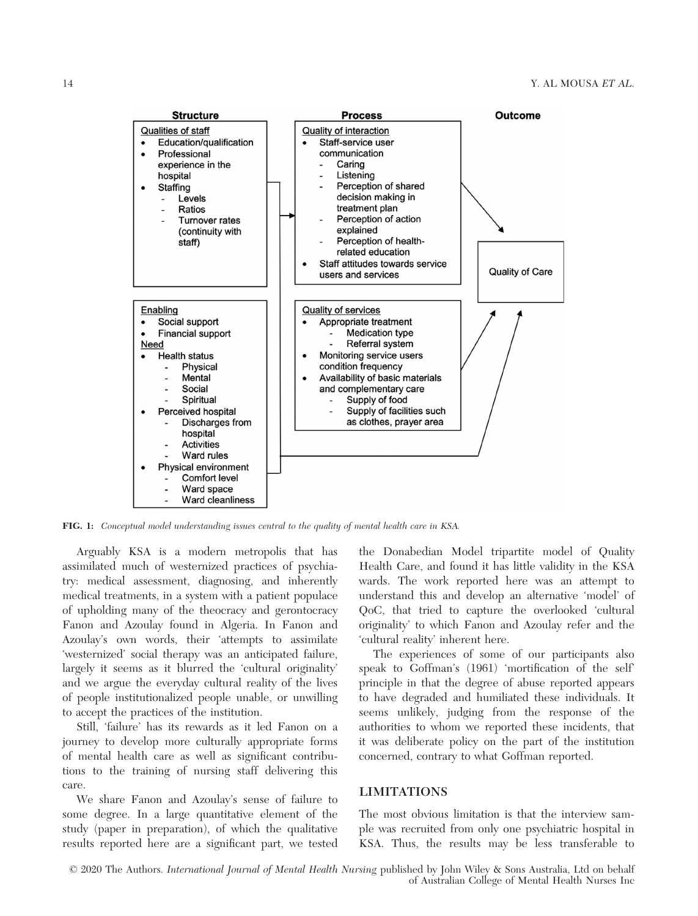

FIG. 1: Conceptual model understanding issues central to the quality of mental health care in KSA.

Arguably KSA is a modern metropolis that has assimilated much of westernized practices of psychiatry: medical assessment, diagnosing, and inherently medical treatments, in a system with a patient populace of upholding many of the theocracy and gerontocracy Fanon and Azoulay found in Algeria. In Fanon and Azoulay's own words, their 'attempts to assimilate 'westernized' social therapy was an anticipated failure, largely it seems as it blurred the 'cultural originality' and we argue the everyday cultural reality of the lives of people institutionalized people unable, or unwilling to accept the practices of the institution.

Still, 'failure' has its rewards as it led Fanon on a journey to develop more culturally appropriate forms of mental health care as well as significant contributions to the training of nursing staff delivering this care.

We share Fanon and Azoulay's sense of failure to some degree. In a large quantitative element of the study (paper in preparation), of which the qualitative results reported here are a significant part, we tested

the Donabedian Model tripartite model of Quality Health Care, and found it has little validity in the KSA wards. The work reported here was an attempt to understand this and develop an alternative 'model' of QoC, that tried to capture the overlooked 'cultural originality' to which Fanon and Azoulay refer and the 'cultural reality' inherent here.

The experiences of some of our participants also speak to Goffman's (1961) 'mortification of the self' principle in that the degree of abuse reported appears to have degraded and humiliated these individuals. It seems unlikely, judging from the response of the authorities to whom we reported these incidents, that it was deliberate policy on the part of the institution concerned, contrary to what Goffman reported.

## LIMITATIONS

The most obvious limitation is that the interview sample was recruited from only one psychiatric hospital in KSA. Thus, the results may be less transferable to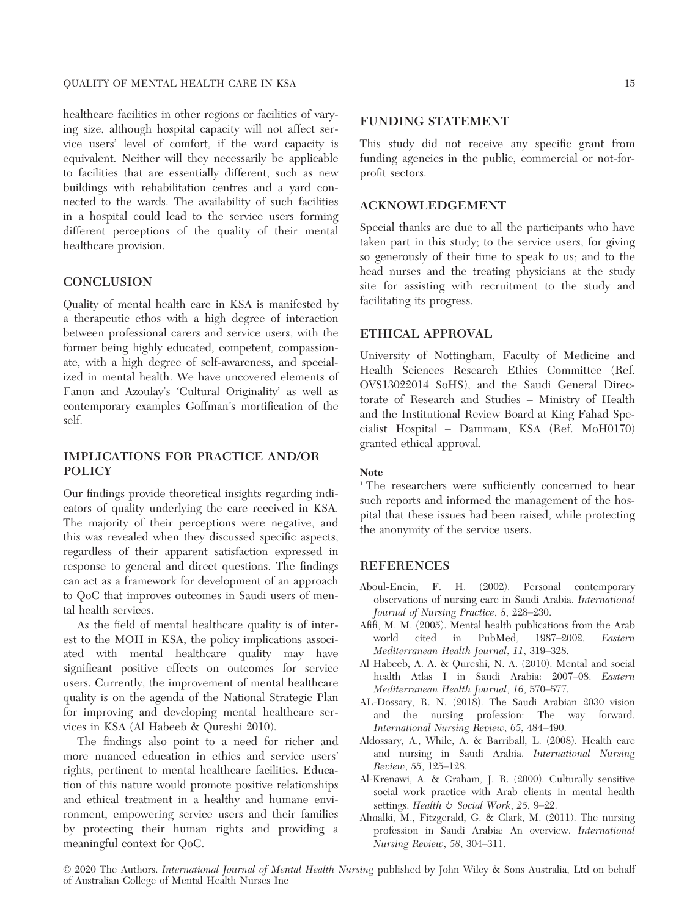## QUALITY OF MENTAL HEALTH CARE IN KSA 15

healthcare facilities in other regions or facilities of varying size, although hospital capacity will not affect service users' level of comfort, if the ward capacity is equivalent. Neither will they necessarily be applicable to facilities that are essentially different, such as new buildings with rehabilitation centres and a yard connected to the wards. The availability of such facilities in a hospital could lead to the service users forming different perceptions of the quality of their mental healthcare provision.

## **CONCLUSION**

Quality of mental health care in KSA is manifested by a therapeutic ethos with a high degree of interaction between professional carers and service users, with the former being highly educated, competent, compassionate, with a high degree of self-awareness, and specialized in mental health. We have uncovered elements of Fanon and Azoulay's 'Cultural Originality' as well as contemporary examples Goffman's mortification of the self.

## IMPLICATIONS FOR PRACTICE AND/OR **POLICY**

Our findings provide theoretical insights regarding indicators of quality underlying the care received in KSA. The majority of their perceptions were negative, and this was revealed when they discussed specific aspects, regardless of their apparent satisfaction expressed in response to general and direct questions. The findings can act as a framework for development of an approach to QoC that improves outcomes in Saudi users of mental health services.

As the field of mental healthcare quality is of interest to the MOH in KSA, the policy implications associated with mental healthcare quality may have significant positive effects on outcomes for service users. Currently, the improvement of mental healthcare quality is on the agenda of the National Strategic Plan for improving and developing mental healthcare services in KSA (Al Habeeb & Qureshi 2010).

The findings also point to a need for richer and more nuanced education in ethics and service users' rights, pertinent to mental healthcare facilities. Education of this nature would promote positive relationships and ethical treatment in a healthy and humane environment, empowering service users and their families by protecting their human rights and providing a meaningful context for QoC.

## FUNDING STATEMENT

This study did not receive any specific grant from funding agencies in the public, commercial or not-forprofit sectors.

## ACKNOWLEDGEMENT

Special thanks are due to all the participants who have taken part in this study; to the service users, for giving so generously of their time to speak to us; and to the head nurses and the treating physicians at the study site for assisting with recruitment to the study and facilitating its progress.

## ETHICAL APPROVAL

University of Nottingham, Faculty of Medicine and Health Sciences Research Ethics Committee (Ref. OVS13022014 SoHS), and the Saudi General Directorate of Research and Studies – Ministry of Health and the Institutional Review Board at King Fahad Specialist Hospital – Dammam, KSA (Ref. MoH0170) granted ethical approval.

#### Note

<sup>1</sup> The researchers were sufficiently concerned to hear such reports and informed the management of the hospital that these issues had been raised, while protecting the anonymity of the service users.

### **REFERENCES**

- Aboul-Enein, F. H. (2002). Personal contemporary observations of nursing care in Saudi Arabia. International Journal of Nursing Practice, 8, 228–230.
- Afifi, M. M. (2005). Mental health publications from the Arab world cited in PubMed, 1987–2002. Eastern Mediterranean Health Journal, 11, 319–328.
- Al Habeeb, A. A. & Qureshi, N. A. (2010). Mental and social health Atlas I in Saudi Arabia: 2007–08. Eastern Mediterranean Health Journal, 16, 570–577.
- AL-Dossary, R. N. (2018). The Saudi Arabian 2030 vision and the nursing profession: The way forward. International Nursing Review, 65, 484–490.
- Aldossary, A., While, A. & Barriball, L. (2008). Health care and nursing in Saudi Arabia. International Nursing Review, 55, 125–128.
- Al-Krenawi, A. & Graham, J. R. (2000). Culturally sensitive social work practice with Arab clients in mental health settings. Health  $\&$  Social Work, 25, 9–22.
- Almalki, M., Fitzgerald, G. & Clark, M. (2011). The nursing profession in Saudi Arabia: An overview. International Nursing Review, 58, 304–311.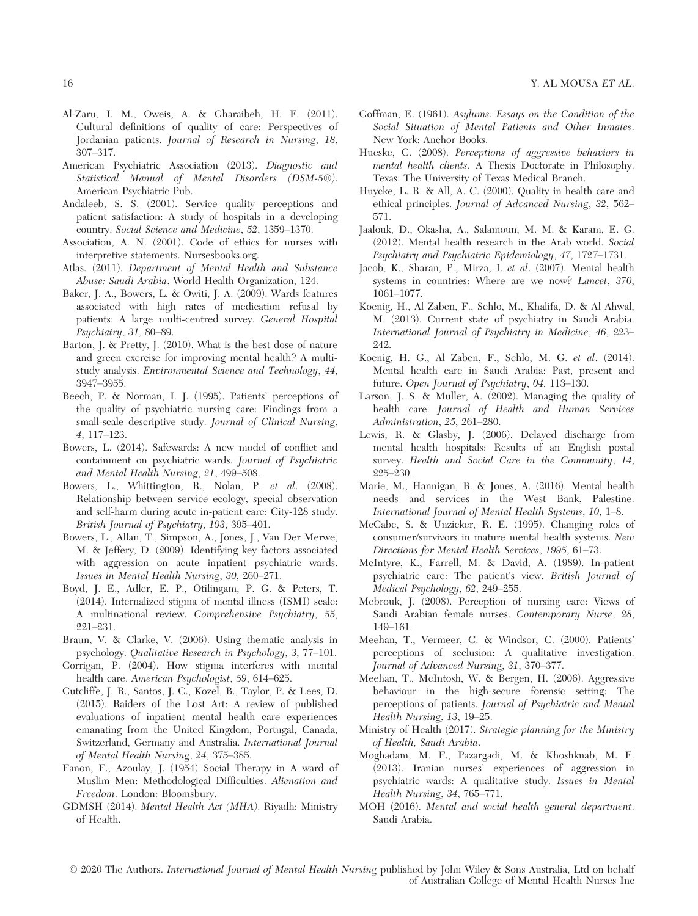- Al-Zaru, I. M., Oweis, A. & Gharaibeh, H. F. (2011). Cultural definitions of quality of care: Perspectives of Jordanian patients. Journal of Research in Nursing, 18, 307–317.
- American Psychiatric Association (2013). Diagnostic and Statistical Manual of Mental Disorders (DSM-5®). American Psychiatric Pub.
- Andaleeb, S. S. (2001). Service quality perceptions and patient satisfaction: A study of hospitals in a developing country. Social Science and Medicine, 52, 1359–1370.
- Association, A. N. (2001). Code of ethics for nurses with interpretive statements. Nursesbooks.org.
- Atlas. (2011). Department of Mental Health and Substance Abuse: Saudi Arabia. World Health Organization, 124.
- Baker, J. A., Bowers, L. & Owiti, J. A. (2009). Wards features associated with high rates of medication refusal by patients: A large multi-centred survey. General Hospital Psychiatry, 31, 80–89.
- Barton, J. & Pretty, J. (2010). What is the best dose of nature and green exercise for improving mental health? A multistudy analysis. Environmental Science and Technology, 44, 3947–3955.
- Beech, P. & Norman, I. J. (1995). Patients' perceptions of the quality of psychiatric nursing care: Findings from a small-scale descriptive study. Journal of Clinical Nursing, 4, 117–123.
- Bowers, L. (2014). Safewards: A new model of conflict and containment on psychiatric wards. Journal of Psychiatric and Mental Health Nursing, 21, 499–508.
- Bowers, L., Whittington, R., Nolan, P. et al. (2008). Relationship between service ecology, special observation and self-harm during acute in-patient care: City-128 study. British Journal of Psychiatry, 193, 395–401.
- Bowers, L., Allan, T., Simpson, A., Jones, J., Van Der Merwe, M. & Jeffery, D. (2009). Identifying key factors associated with aggression on acute inpatient psychiatric wards. Issues in Mental Health Nursing, 30, 260–271.
- Boyd, J. E., Adler, E. P., Otilingam, P. G. & Peters, T. (2014). Internalized stigma of mental illness (ISMI) scale: A multinational review. Comprehensive Psychiatry, 55, 221–231.
- Braun, V. & Clarke, V. (2006). Using thematic analysis in psychology. Qualitative Research in Psychology, 3, 77–101.
- Corrigan, P. (2004). How stigma interferes with mental health care. American Psychologist, 59, 614–625.
- Cutcliffe, J. R., Santos, J. C., Kozel, B., Taylor, P. & Lees, D. (2015). Raiders of the Lost Art: A review of published evaluations of inpatient mental health care experiences emanating from the United Kingdom, Portugal, Canada, Switzerland, Germany and Australia. International Journal of Mental Health Nursing, 24, 375–385.
- Fanon, F., Azoulay, J. (1954) Social Therapy in A ward of Muslim Men: Methodological Difficulties. Alienation and Freedom. London: Bloomsbury.
- GDMSH (2014). Mental Health Act (MHA). Riyadh: Ministry of Health.
- Goffman, E. (1961). Asylums: Essays on the Condition of the Social Situation of Mental Patients and Other Inmates. New York: Anchor Books.
- Hueske, C. (2008). Perceptions of aggressive behaviors in mental health clients. A Thesis Doctorate in Philosophy. Texas: The University of Texas Medical Branch.
- Huycke, L. R. & All, A. C. (2000). Quality in health care and ethical principles. Journal of Advanced Nursing, 32, 562– 571.
- Jaalouk, D., Okasha, A., Salamoun, M. M. & Karam, E. G. (2012). Mental health research in the Arab world. Social Psychiatry and Psychiatric Epidemiology, 47, 1727–1731.
- Jacob, K., Sharan, P., Mirza, I. et al. (2007). Mental health systems in countries: Where are we now? Lancet, 370, 1061–1077.
- Koenig, H., Al Zaben, F., Sehlo, M., Khalifa, D. & Al Ahwal, M. (2013). Current state of psychiatry in Saudi Arabia. International Journal of Psychiatry in Medicine, 46, 223– 242.
- Koenig, H. G., Al Zaben, F., Sehlo, M. G. et al. (2014). Mental health care in Saudi Arabia: Past, present and future. Open Journal of Psychiatry, 04, 113–130.
- Larson, J. S. & Muller, A. (2002). Managing the quality of health care. Journal of Health and Human Services Administration, 25, 261–280.
- Lewis, R. & Glasby, J. (2006). Delayed discharge from mental health hospitals: Results of an English postal survey. Health and Social Care in the Community, 14, 225–230.
- Marie, M., Hannigan, B. & Jones, A. (2016). Mental health needs and services in the West Bank, Palestine. International Journal of Mental Health Systems, 10, 1–8.
- McCabe, S. & Unzicker, R. E. (1995). Changing roles of consumer/survivors in mature mental health systems. New Directions for Mental Health Services, 1995, 61–73.
- McIntyre, K., Farrell, M. & David, A. (1989). In-patient psychiatric care: The patient's view. British Journal of Medical Psychology, 62, 249–255.
- Mebrouk, J. (2008). Perception of nursing care: Views of Saudi Arabian female nurses. Contemporary Nurse, 28, 149–161.
- Meehan, T., Vermeer, C. & Windsor, C. (2000). Patients' perceptions of seclusion: A qualitative investigation. Journal of Advanced Nursing, 31, 370–377.
- Meehan, T., McIntosh, W. & Bergen, H. (2006). Aggressive behaviour in the high-secure forensic setting: The perceptions of patients. Journal of Psychiatric and Mental Health Nursing, 13, 19–25.
- Ministry of Health (2017). Strategic planning for the Ministry of Health, Saudi Arabia.
- Moghadam, M. F., Pazargadi, M. & Khoshknab, M. F. (2013). Iranian nurses' experiences of aggression in psychiatric wards: A qualitative study. Issues in Mental Health Nursing, 34, 765–771.
- MOH (2016). Mental and social health general department. Saudi Arabia.